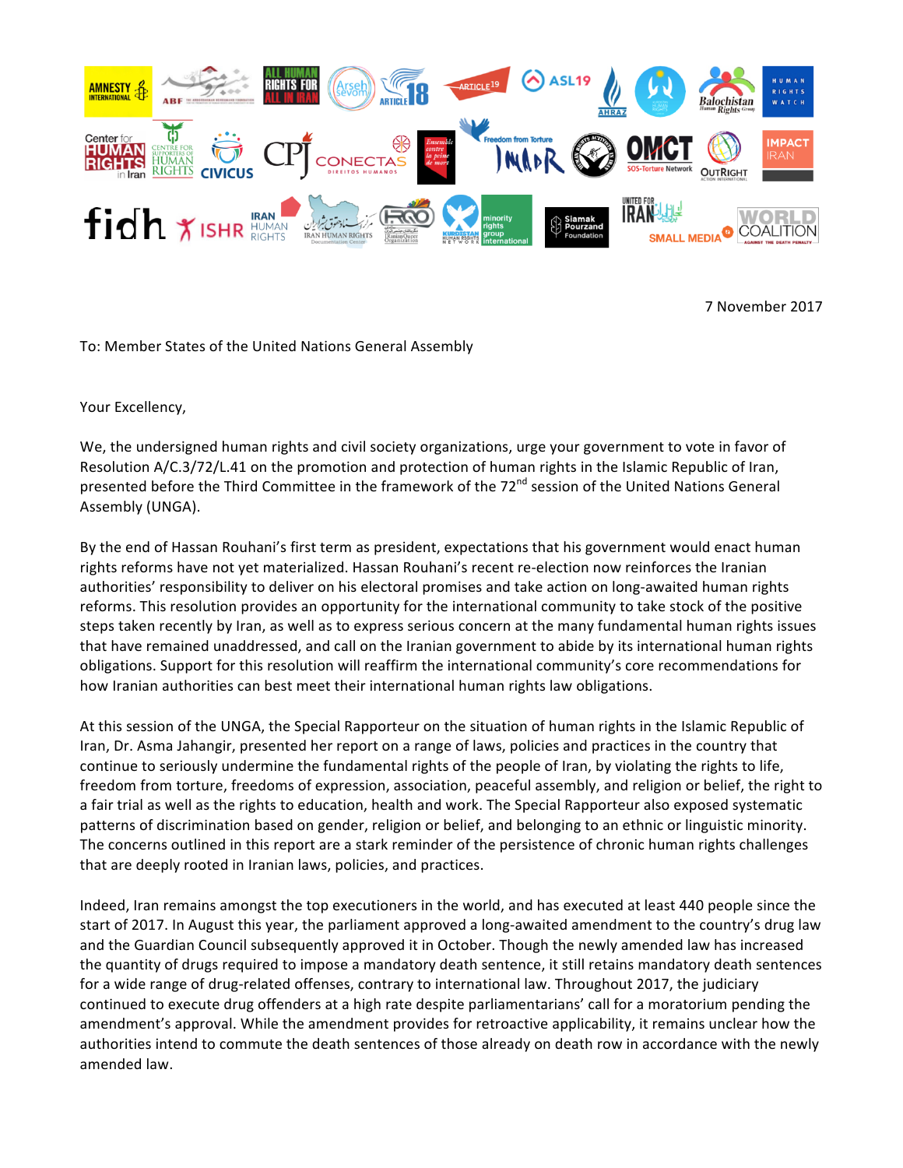

7 November 2017

To: Member States of the United Nations General Assembly

Your Excellency,

We, the undersigned human rights and civil society organizations, urge your government to vote in favor of Resolution A/C.3/72/L.41 on the promotion and protection of human rights in the Islamic Republic of Iran, presented before the Third Committee in the framework of the 72<sup>nd</sup> session of the United Nations General Assembly (UNGA). 

By the end of Hassan Rouhani's first term as president, expectations that his government would enact human rights reforms have not yet materialized. Hassan Rouhani's recent re-election now reinforces the Iranian authorities' responsibility to deliver on his electoral promises and take action on long-awaited human rights reforms. This resolution provides an opportunity for the international community to take stock of the positive steps taken recently by Iran, as well as to express serious concern at the many fundamental human rights issues that have remained unaddressed, and call on the Iranian government to abide by its international human rights obligations. Support for this resolution will reaffirm the international community's core recommendations for how Iranian authorities can best meet their international human rights law obligations.

At this session of the UNGA, the Special Rapporteur on the situation of human rights in the Islamic Republic of Iran, Dr. Asma Jahangir, presented her report on a range of laws, policies and practices in the country that continue to seriously undermine the fundamental rights of the people of Iran, by violating the rights to life, freedom from torture, freedoms of expression, association, peaceful assembly, and religion or belief, the right to a fair trial as well as the rights to education, health and work. The Special Rapporteur also exposed systematic patterns of discrimination based on gender, religion or belief, and belonging to an ethnic or linguistic minority. The concerns outlined in this report are a stark reminder of the persistence of chronic human rights challenges that are deeply rooted in Iranian laws, policies, and practices.

Indeed, Iran remains amongst the top executioners in the world, and has executed at least 440 people since the start of 2017. In August this year, the parliament approved a long-awaited amendment to the country's drug law and the Guardian Council subsequently approved it in October. Though the newly amended law has increased the quantity of drugs required to impose a mandatory death sentence, it still retains mandatory death sentences for a wide range of drug-related offenses, contrary to international law. Throughout 2017, the judiciary continued to execute drug offenders at a high rate despite parliamentarians' call for a moratorium pending the amendment's approval. While the amendment provides for retroactive applicability, it remains unclear how the authorities intend to commute the death sentences of those already on death row in accordance with the newly amended law.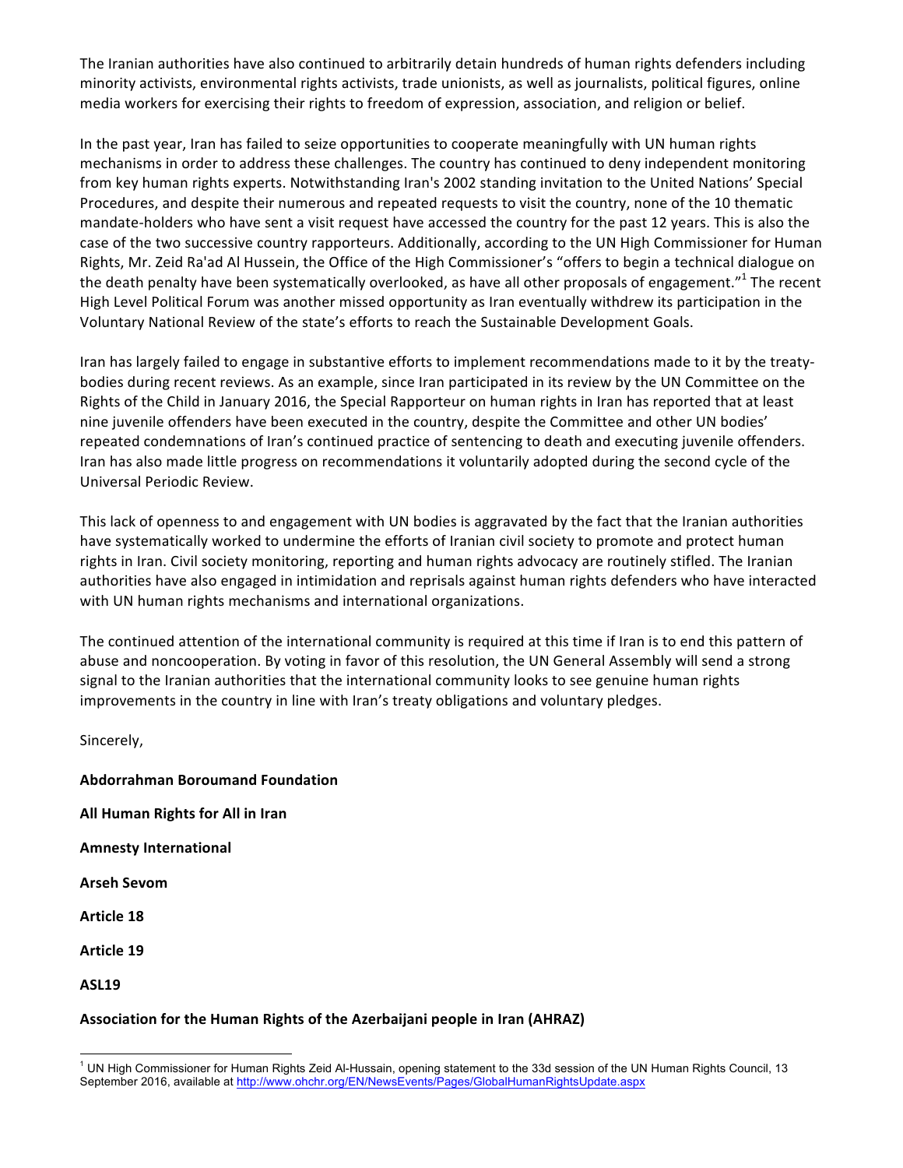The Iranian authorities have also continued to arbitrarily detain hundreds of human rights defenders including minority activists, environmental rights activists, trade unionists, as well as journalists, political figures, online media workers for exercising their rights to freedom of expression, association, and religion or belief.

In the past year, Iran has failed to seize opportunities to cooperate meaningfully with UN human rights mechanisms in order to address these challenges. The country has continued to deny independent monitoring from key human rights experts. Notwithstanding Iran's 2002 standing invitation to the United Nations' Special Procedures, and despite their numerous and repeated requests to visit the country, none of the 10 thematic mandate-holders who have sent a visit request have accessed the country for the past 12 years. This is also the case of the two successive country rapporteurs. Additionally, according to the UN High Commissioner for Human Rights, Mr. Zeid Ra'ad Al Hussein, the Office of the High Commissioner's "offers to begin a technical dialogue on the death penalty have been systematically overlooked, as have all other proposals of engagement."<sup>1</sup> The recent High Level Political Forum was another missed opportunity as Iran eventually withdrew its participation in the Voluntary National Review of the state's efforts to reach the Sustainable Development Goals.

Iran has largely failed to engage in substantive efforts to implement recommendations made to it by the treatybodies during recent reviews. As an example, since Iran participated in its review by the UN Committee on the Rights of the Child in January 2016, the Special Rapporteur on human rights in Iran has reported that at least nine juvenile offenders have been executed in the country, despite the Committee and other UN bodies' repeated condemnations of Iran's continued practice of sentencing to death and executing juvenile offenders. Iran has also made little progress on recommendations it voluntarily adopted during the second cycle of the Universal Periodic Review. 

This lack of openness to and engagement with UN bodies is aggravated by the fact that the Iranian authorities have systematically worked to undermine the efforts of Iranian civil society to promote and protect human rights in Iran. Civil society monitoring, reporting and human rights advocacy are routinely stifled. The Iranian authorities have also engaged in intimidation and reprisals against human rights defenders who have interacted with UN human rights mechanisms and international organizations.

The continued attention of the international community is required at this time if Iran is to end this pattern of abuse and noncooperation. By voting in favor of this resolution, the UN General Assembly will send a strong signal to the Iranian authorities that the international community looks to see genuine human rights improvements in the country in line with Iran's treaty obligations and voluntary pledges.

Sincerely,

**Abdorrahman Boroumand Foundation All Human Rights for All in Iran Amnesty International Arseh Sevom Article 18 Article 19 ASL19**

## Association for the Human Rights of the Azerbaijani people in Iran (AHRAZ)

<sup>&</sup>lt;sup>1</sup> UN High Commissioner for Human Rights Zeid Al-Hussain, opening statement to the 33d session of the UN Human Rights Council, 13 September 2016, available at http://www.ohchr.org/EN/NewsEvents/Pages/GlobalHumanRightsUpdate.aspx